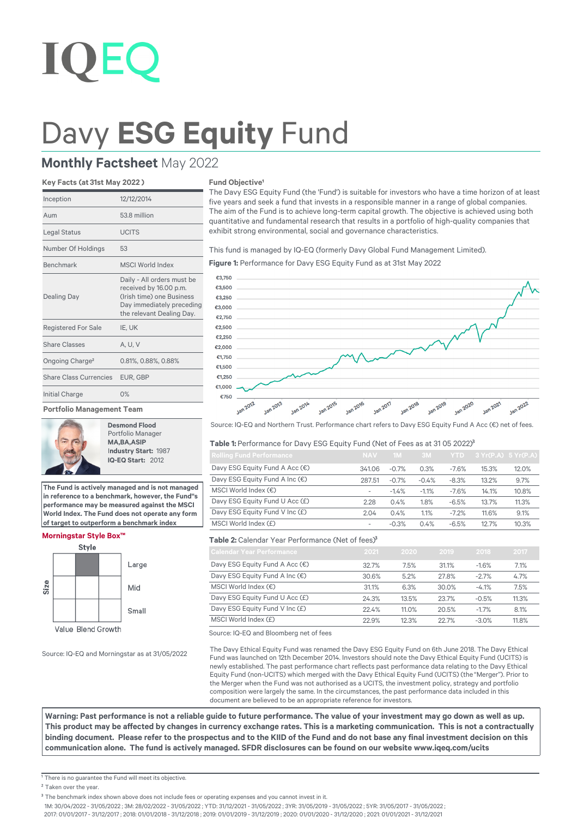# Davy **ESG Equity** Fund

## **Monthly Factsheet** May 2022

#### **Key Facts (at 31st May 2022 )**

| Inception                     | 12/12/2014                                                                                                                                  |
|-------------------------------|---------------------------------------------------------------------------------------------------------------------------------------------|
| Aum                           | 53.8 million                                                                                                                                |
| Legal Status                  | <b>UCITS</b>                                                                                                                                |
| Number Of Holdings            | 53                                                                                                                                          |
| <b>Benchmark</b>              | <b>MSCI World Index</b>                                                                                                                     |
| <b>Dealing Day</b>            | Daily - All orders must be<br>received by 16.00 p.m.<br>(Irish time) one Business<br>Day immediately preceding<br>the relevant Dealing Day. |
| <b>Registered For Sale</b>    | IE, UK                                                                                                                                      |
| Share Classes                 | A. U. V                                                                                                                                     |
| Ongoing Charge <sup>2</sup>   | 0.81%, 0.88%, 0.88%                                                                                                                         |
| <b>Share Class Currencies</b> | EUR. GBP                                                                                                                                    |
| Initial Charge                | 0%                                                                                                                                          |
| .                             |                                                                                                                                             |

**Portfolio Management Team**



**Desmond Flood** Portfolio Manager **MA,BA,ASIP** I**ndustry Start:** 1987  **IQ-EQ Start:** 2012

**The Fund is actively managed and is not managed in reference to a benchmark, however, the Fund''s performance may be measured against the MSCI World Index. The Fund does not operate any form of target to outperform a benchmark index**

#### **Morningstar Style Box™**



Source: IQ-EQ and Morningstar as at 31/05/2022

#### **Fund Objective<sup>1</sup>**

The Davy ESG Equity Fund (the 'Fund') is suitable for investors who have a time horizon of at least five years and seek a fund that invests in a responsible manner in a range of global companies. The aim of the Fund is to achieve long-term capital growth. The objective is achieved using both quantitative and fundamental research that results in a portfolio of high-quality companies that exhibit strong environmental, social and governance characteristics.

This fund is managed by IQ-EQ (formerly Davy Global Fund Management Limited).

**Figure 1:** Performance for Davy ESG Equity Fund as at 31st May 2022



Source: IQ-EQ and Northern Trust. Performance chart refers to Davy ESG Equity Fund A Acc (€) net of fees.

#### Table 1: Performance for Davy ESG Equity Fund (Net of Fees as at 31 05 2022)<sup>3</sup>

| <b>Rolling Fund Performance</b>         | <b>NAV</b>               | 1 <sub>M</sub> | 3M      |         | $YTD$ 3 $Yr(P.A)$ 5 $Yr(P.A)$ |       |
|-----------------------------------------|--------------------------|----------------|---------|---------|-------------------------------|-------|
| Davy ESG Equity Fund A Acc (€)          | 341.06                   | $-0.7%$        | 0.3%    | $-7.6%$ | 15.3%                         | 12.0% |
| Davy ESG Equity Fund A Inc $(\epsilon)$ | 287.51                   | $-0.7%$        | $-0.4%$ | $-8.3%$ | 13.2%                         | 9.7%  |
| MSCI World Index $(\epsilon)$           | $\overline{\phantom{a}}$ | $-1.4%$        | $-1.1%$ | $-7.6%$ | 14.1%                         | 10.8% |
| Davy ESG Equity Fund U Acc (£)          | 2.28                     | 0.4%           | 1.8%    | $-6.5%$ | 13.7%                         | 11.3% |
| Davy ESG Equity Fund V Inc (£)          | 2.04                     | 0.4%           | 1.1%    | $-7.2%$ | 11.6%                         | 9.1%  |
| MSCI World Index (£)                    | $\overline{\phantom{a}}$ | $-0.3%$        | 0.4%    | $-6.5%$ | 12.7%                         | 10.3% |

## **Table 2:** Calendar Year Performance (Net of fees)<sup>3</sup>

| <b>Calendar Year Performance</b> | 2021  | 2020  | 2019  | 2018    | 2017  |
|----------------------------------|-------|-------|-------|---------|-------|
| Davy ESG Equity Fund A Acc (€)   | 32.7% | 7.5%  | 31.1% | $-1.6%$ | 7.1%  |
| Davy ESG Equity Fund A Inc (€)   | 30.6% | 5.2%  | 27.8% | $-2.7%$ | 4.7%  |
| MSCI World Index $(\epsilon)$    | 31.1% | 6.3%  | 30.0% | $-4.1%$ | 7.5%  |
| Davy ESG Equity Fund U Acc (£)   | 24.3% | 13.5% | 23.7% | $-0.5%$ | 11.3% |
| Davy ESG Equity Fund V Inc (£)   | 22.4% | 11.0% | 20.5% | $-1.7%$ | 8.1%  |
| MSCI World Index (£)             | 22.9% | 12.3% | 22.7% | $-3.0%$ | 11.8% |

Source: IQ-EQ and Bloomberg net of fees

The Davy Ethical Equity Fund was renamed the Davy ESG Equity Fund on 6th June 2018. The Davy Ethical Fund was launched on 12th December 2014. Investors should note the Davy Ethical Equity Fund (UCITS) is newly established. The past performance chart reflects past performance data relating to the Davy Ethical Equity Fund (non-UCITS) which merged with the Davy Ethical Equity Fund (UCITS) (the "Merger"). Prior to the Merger when the Fund was not authorised as a UCITS, the investment policy, strategy and portfolio composition were largely the same. In the circumstances, the past performance data included in this document are believed to be an appropriate reference for investors.

**Warning: Past performance is not a reliable guide to future performance. The value of your investment may go down as well as up.**  This product may be affected by changes in currency exchange rates. This is a marketing communication. This is not a contractually binding document. Please refer to the prospectus and to the KIID of the Fund and do not base any final investment decision on this communication alone. The fund is actively managed. SFDR disclosures can be found on our website www.igeq.com/ucits

<sup>1</sup> There is no quarantee the Fund will meet its objective.

1M: 30/04/2022 - 31/05/2022 ; 3M: 28/02/2022 - 31/05/2022 ; YTD: 31/12/2021 - 31/05/2022 ; 3YR: 31/05/2019 - 31/05/2022 ; 5YR: 31/05/2017 - 31/05/2022 ;

2017: 01/01/2017 - 31/12/2017 ; 2018: 01/01/2018 - 31/12/2018 ; 2019: 01/01/2019 - 31/12/2019 ; 2020: 01/01/2020 - 31/12/2020 ; 2021: 01/01/2021 - 31/12/2021

<sup>&</sup>lt;sup>2</sup> Taken over the year.

<sup>&</sup>lt;sup>3</sup> The benchmark index shown above does not include fees or operating expenses and you cannot invest in it.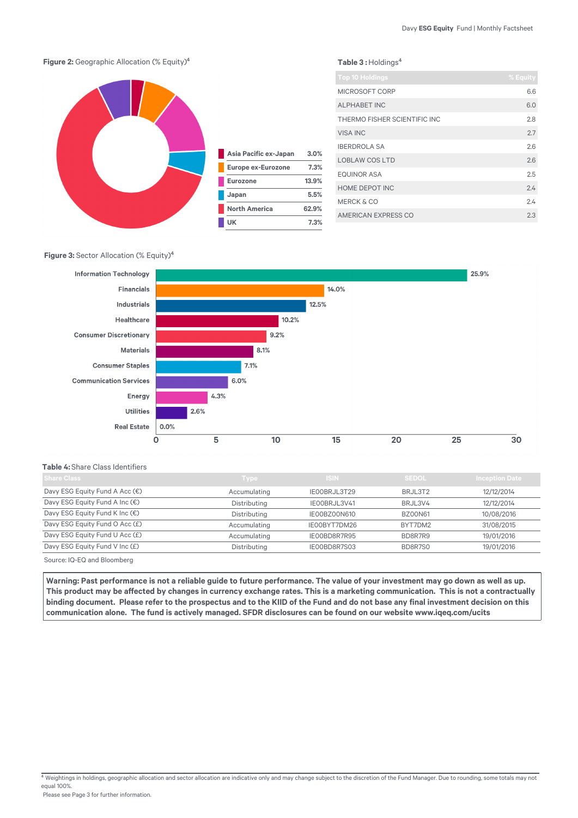

## **Figure 3:** Sector Allocation (% Equity)<sup>4</sup>



#### **Table 4:** Share Class Identifiers

| <b>Share Class</b>                       | <b>Type</b>  | <b>ISIN</b>  | <b>SEDOL</b>   | <b>Inception Date</b> |
|------------------------------------------|--------------|--------------|----------------|-----------------------|
| Davy ESG Equity Fund A Acc $(\epsilon)$  | Accumulating | IEOOBRJL3T29 | BRJL3T2        | 12/12/2014            |
| Davy ESG Equity Fund A Inc (€)           | Distributing | IEOOBRJL3V41 | BRJL3V4        | 12/12/2014            |
| Davy ESG Equity Fund K Inc (€)           | Distributing | IE00BZ00N610 | <b>BZ00N61</b> | 10/08/2016            |
| Davy ESG Equity Fund O Acc (£)           | Accumulating | IE00BYT7DM26 | BYT7DM2        | 31/08/2015            |
| Davy ESG Equity Fund U Acc (£)           | Accumulating | IE00BD8R7R95 | BD8R7R9        | 19/01/2016            |
| Davy ESG Equity Fund V Inc (£)           | Distributing | IE00BD8R7S03 | BD8R7S0        | 19/01/2016            |
| $\sim$<br>$\sim$ $\sim$ $\sim$<br>$\sim$ |              |              |                |                       |

Source: IQ-EQ and Bloomberg

Warning: Past performance is not a reliable guide to future performance. The value of your investment may go down as well as up. This product may be affected by changes in currency exchange rates. This is a marketing communication. This is not a contractually binding document. Please refer to the prospectus and to the KIID of the Fund and do not base any final investment decision on this communication alone. The fund is actively managed. SFDR disclosures can be found on our website www.iqeq.com/ucits

 $4$  Weightings in holdings, geographic allocation and sector allocation are indicative only and may change subject to the discretion of the Fund Manager. Due to rounding, some totals may not equal 100%.

Please see Page 3 for further information.